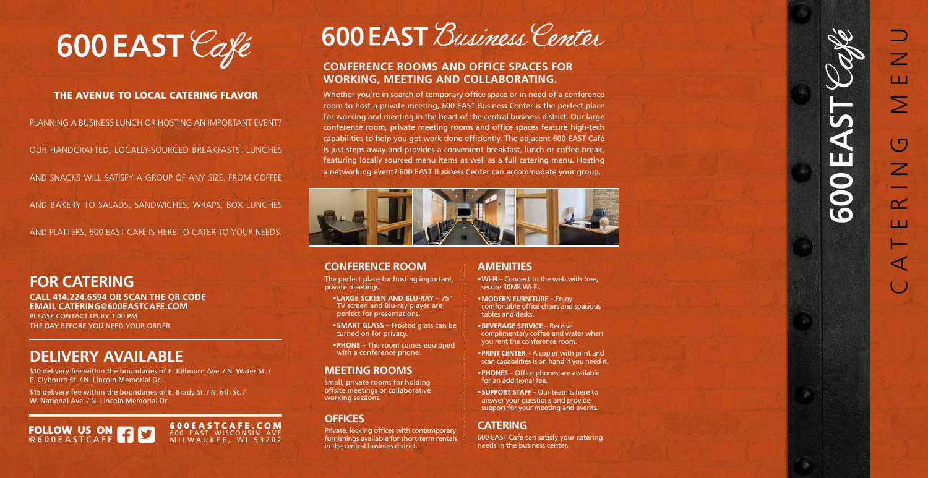## **CONFERENCE ROOMS AND OFFICE SPACES FOR WORKING, MEETING AND COLLABORATING.**

Whether you're in search of temporary office space or in need of a conference room to host a private meeting, 600 EAST Business Center is the perfect place for working and meeting in the heart of the central business district. Our large conference room, private meeting rooms and office spaces feature high-tech capabilities to help you get work done efficiently. The adjacent 600 EAST Café is just steps away and provides a convenient breakfast, lunch or coffee break, featuring locally sourced menu items as well as a full catering menu. Hosting a networking event? 600 EAST Business Center can accommodate your group.



## **CONFERENCE ROOM**

The perfect place for hosting important, private meetings.

- **•LARGE SCREEN AND BLU-RAY** 75" TV screen and Blu-ray player are perfect for presentations.
- **•SMART GLASS** Frosted glass can be turned on for privacy.
- **•PHONE** The room comes equipped with a conference phone.

## **MEETING ROOMS**

Small, private rooms for holding offsite meetings or collaborative working sessions.

## **OFFICES**

Private, locking offices with contemporary furnishings available for short-term rentals in the central business district.

## **AMENITIES**

\$15 delivery fee within the boundaries of E. Brady St. / N. 6th St. / W. National Ave. / N. Lincoln Memorial Dr.

- **•WI-FI** Connect to the web with free, secure 30MB Wi-Fi.
- **•MODERN FURNITURE** Enjoy comfortable office chairs and spacious tables and desks.
- **•BEVERAGE SERVICE** Receive complimentary coffee and water when you rent the conference room.
- **•PRINT CENTER** A copier with print and scan capabilities is on hand if you need it.
- **•PHONES** Office phones are available for an additional fee.
- **•SUPPORT STAFF** Our team is here to answer your questions and provide support for your meeting and events.

## **CATERING**

600 EAST Café can satisfy your catering needs in the business center.



## **THE AVENUE TO LOCAL CATERING FLAVOR**

PLANNING A BUSINESS LUNCH OR HOSTING AN IMPORTANT EVENT?

OUR HANDCRAFTED, LOCALLY-SOURCED BREAKFASTS, LUNCHES

AND SNACKS WILL SATISFY A GROUP OF ANY SIZE. FROM COFFEE

AND BAKERY TO SALADS, SANDWICHES, WRAPS, BOX LUNCHES

AND PLATTERS, 600 EAST CAFÉ IS HERE TO CATER TO YOUR NEEDS.

## **FOR CATERING**



**CALL 414.224.6594 OR SCAN THE QR CODE EMAIL CATERING@600EASTCAFE.COM** PLEASE CONTACT US BY 1:00 PM THE DAY BEFORE YOU NEED YOUR ORDER

# **DELIVERY AVAILABLE**

\$10 delivery fee within the boundaries of E. Kilbourn Ave. / N. Water St. / E. Clybourn St. / N. Lincoln Memorial Dr.

> **600EASTCAFE.COM** 600 EAST WISCONSIN AVE MILWAUKEE, WI 53202



# 600 EAST Business Center